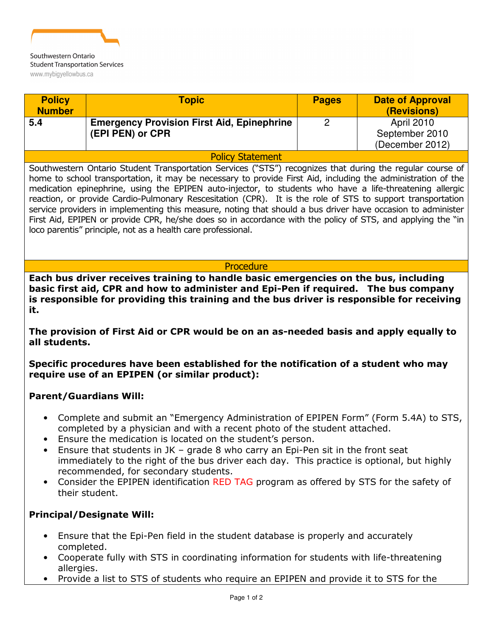

| <b>Policy</b>                                                                                                                                                                                                                                                                                                                                                                                                                                                                                                                                                                                                                                                                                                                                     | Topic                                                                                 | <b>Pages</b>   | <b>Date of Approval</b> |
|---------------------------------------------------------------------------------------------------------------------------------------------------------------------------------------------------------------------------------------------------------------------------------------------------------------------------------------------------------------------------------------------------------------------------------------------------------------------------------------------------------------------------------------------------------------------------------------------------------------------------------------------------------------------------------------------------------------------------------------------------|---------------------------------------------------------------------------------------|----------------|-------------------------|
| <b>Number</b>                                                                                                                                                                                                                                                                                                                                                                                                                                                                                                                                                                                                                                                                                                                                     |                                                                                       |                | (Revisions)             |
| 5.4                                                                                                                                                                                                                                                                                                                                                                                                                                                                                                                                                                                                                                                                                                                                               | <b>Emergency Provision First Aid, Epinephrine</b>                                     | $\overline{2}$ | April 2010              |
|                                                                                                                                                                                                                                                                                                                                                                                                                                                                                                                                                                                                                                                                                                                                                   | (EPI PEN) or CPR                                                                      |                | September 2010          |
|                                                                                                                                                                                                                                                                                                                                                                                                                                                                                                                                                                                                                                                                                                                                                   |                                                                                       |                | (December 2012)         |
| <b>Policy Statement</b>                                                                                                                                                                                                                                                                                                                                                                                                                                                                                                                                                                                                                                                                                                                           |                                                                                       |                |                         |
| Southwestern Ontario Student Transportation Services ("STS") recognizes that during the regular course of<br>home to school transportation, it may be necessary to provide First Aid, including the administration of the<br>medication epinephrine, using the EPIPEN auto-injector, to students who have a life-threatening allergic<br>reaction, or provide Cardio-Pulmonary Rescesitation (CPR). It is the role of STS to support transportation<br>service providers in implementing this measure, noting that should a bus driver have occasion to administer<br>First Aid, EPIPEN or provide CPR, he/she does so in accordance with the policy of STS, and applying the "in<br>loco parentis" principle, not as a health care professional. |                                                                                       |                |                         |
| Procedure                                                                                                                                                                                                                                                                                                                                                                                                                                                                                                                                                                                                                                                                                                                                         |                                                                                       |                |                         |
| basic first aid, CPR and how to administer and Epi-Pen if required. The bus company<br>is responsible for providing this training and the bus driver is responsible for receiving<br>it.<br>The provision of First Aid or CPR would be on an as-needed basis and apply equally to<br>all students.<br>Specific procedures have been established for the notification of a student who may<br>require use of an EPIPEN (or similar product):                                                                                                                                                                                                                                                                                                       |                                                                                       |                |                         |
| <b>Parent/Guardians Will:</b>                                                                                                                                                                                                                                                                                                                                                                                                                                                                                                                                                                                                                                                                                                                     |                                                                                       |                |                         |
| Complete and submit an "Emergency Administration of EPIPEN Form" (Form 5.4A) to STS,<br>$\bullet$<br>completed by a physician and with a recent photo of the student attached.<br>Ensure the medication is located on the student's person.<br>Ensure that students in JK - grade 8 who carry an Epi-Pen sit in the front seat<br>immediately to the right of the bus driver each day. This practice is optional, but highly<br>recommended, for secondary students.<br>Consider the EPIPEN identification RED TAG program as offered by STS for the safety of<br>their student.                                                                                                                                                                  |                                                                                       |                |                         |
|                                                                                                                                                                                                                                                                                                                                                                                                                                                                                                                                                                                                                                                                                                                                                   | <b>Principal/Designate Will:</b>                                                      |                |                         |
| completed.                                                                                                                                                                                                                                                                                                                                                                                                                                                                                                                                                                                                                                                                                                                                        | Ensure that the Epi-Pen field in the student database is properly and accurately      |                |                         |
| Cooperate fully with STS in coordinating information for students with life-threatening<br>allergies.                                                                                                                                                                                                                                                                                                                                                                                                                                                                                                                                                                                                                                             |                                                                                       |                |                         |
|                                                                                                                                                                                                                                                                                                                                                                                                                                                                                                                                                                                                                                                                                                                                                   | Provide a list to STS of students who require an EPIPEN and provide it to STS for the |                |                         |